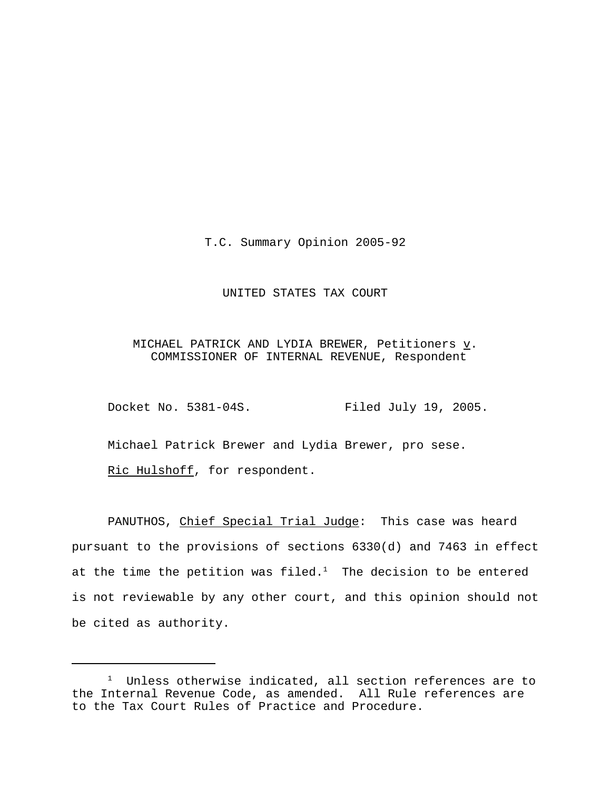T.C. Summary Opinion 2005-92

## UNITED STATES TAX COURT

# MICHAEL PATRICK AND LYDIA BREWER, Petitioners  $\underline{v}$ . COMMISSIONER OF INTERNAL REVENUE, Respondent

Docket No. 5381-04S. Filed July 19, 2005.

Michael Patrick Brewer and Lydia Brewer, pro sese.

Ric Hulshoff, for respondent.

PANUTHOS, Chief Special Trial Judge: This case was heard pursuant to the provisions of sections 6330(d) and 7463 in effect at the time the petition was filed. $<sup>1</sup>$  The decision to be entered</sup> is not reviewable by any other court, and this opinion should not be cited as authority.

<sup>&</sup>lt;sup>1</sup> Unless otherwise indicated, all section references are to the Internal Revenue Code, as amended. All Rule references are to the Tax Court Rules of Practice and Procedure.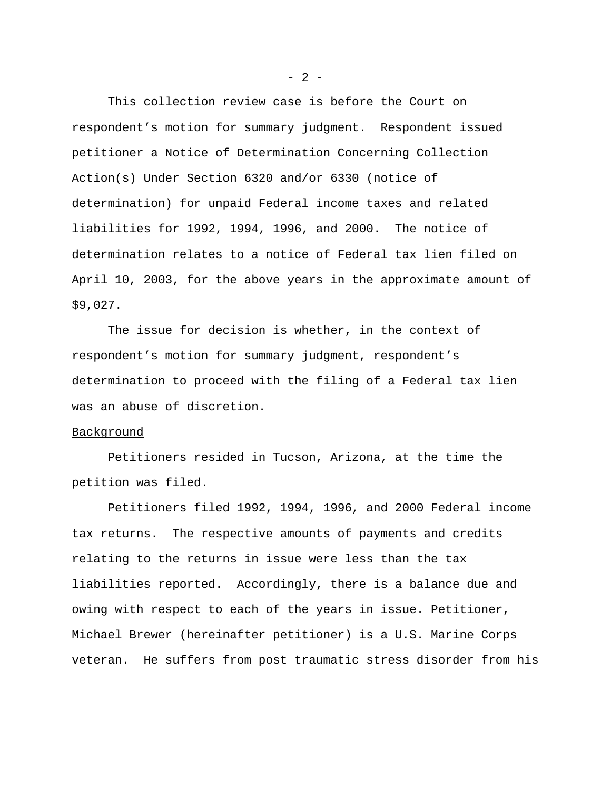This collection review case is before the Court on respondent's motion for summary judgment. Respondent issued petitioner a Notice of Determination Concerning Collection Action(s) Under Section 6320 and/or 6330 (notice of determination) for unpaid Federal income taxes and related liabilities for 1992, 1994, 1996, and 2000. The notice of determination relates to a notice of Federal tax lien filed on April 10, 2003, for the above years in the approximate amount of \$9,027.

The issue for decision is whether, in the context of respondent's motion for summary judgment, respondent's determination to proceed with the filing of a Federal tax lien was an abuse of discretion.

## Background

Petitioners resided in Tucson, Arizona, at the time the petition was filed.

Petitioners filed 1992, 1994, 1996, and 2000 Federal income tax returns. The respective amounts of payments and credits relating to the returns in issue were less than the tax liabilities reported. Accordingly, there is a balance due and owing with respect to each of the years in issue. Petitioner, Michael Brewer (hereinafter petitioner) is a U.S. Marine Corps veteran. He suffers from post traumatic stress disorder from his

 $- 2 -$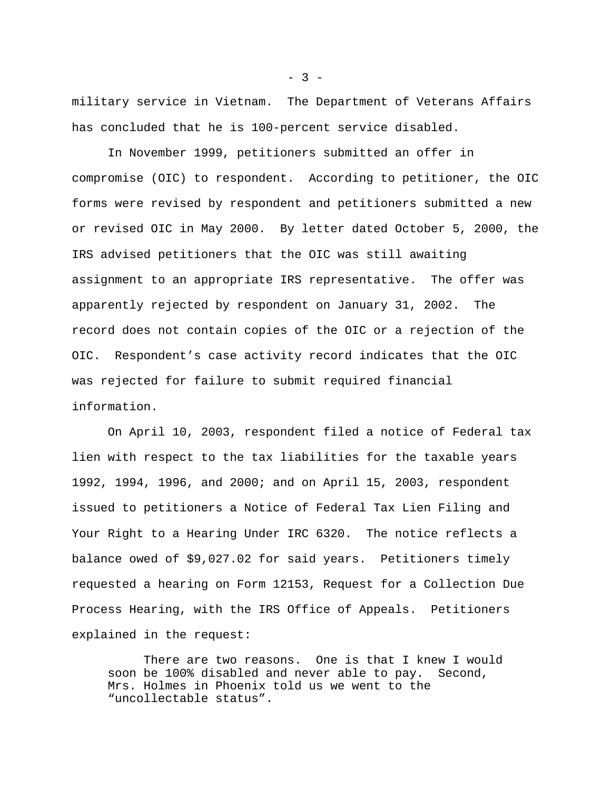military service in Vietnam. The Department of Veterans Affairs has concluded that he is 100-percent service disabled.

In November 1999, petitioners submitted an offer in compromise (OIC) to respondent. According to petitioner, the OIC forms were revised by respondent and petitioners submitted a new or revised OIC in May 2000. By letter dated October 5, 2000, the IRS advised petitioners that the OIC was still awaiting assignment to an appropriate IRS representative. The offer was apparently rejected by respondent on January 31, 2002. The record does not contain copies of the OIC or a rejection of the OIC. Respondent's case activity record indicates that the OIC was rejected for failure to submit required financial information.

On April 10, 2003, respondent filed a notice of Federal tax lien with respect to the tax liabilities for the taxable years 1992, 1994, 1996, and 2000; and on April 15, 2003, respondent issued to petitioners a Notice of Federal Tax Lien Filing and Your Right to a Hearing Under IRC 6320. The notice reflects a balance owed of \$9,027.02 for said years. Petitioners timely requested a hearing on Form 12153, Request for a Collection Due Process Hearing, with the IRS Office of Appeals. Petitioners explained in the request:

There are two reasons. One is that I knew I would soon be 100% disabled and never able to pay. Second, Mrs. Holmes in Phoenix told us we went to the "uncollectable status".

 $- 3 -$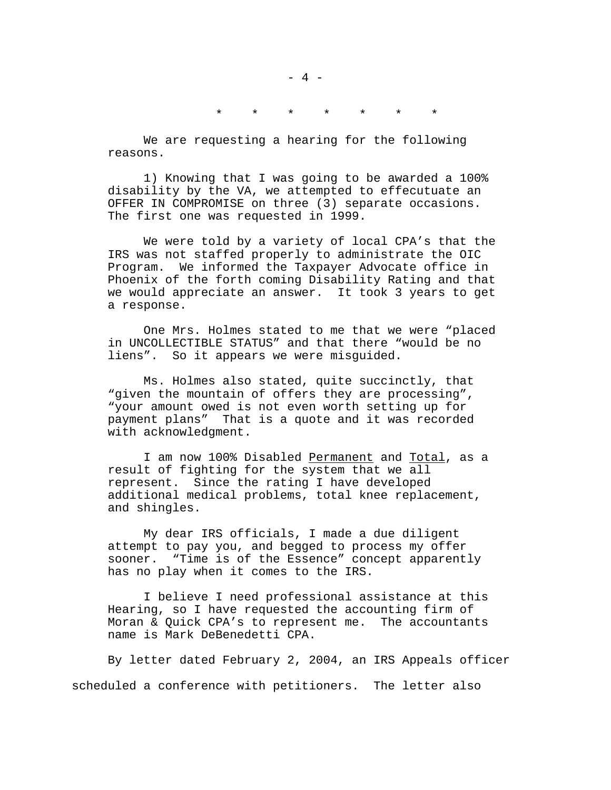# \* \* \* \* \* \* \*

We are requesting a hearing for the following reasons.

1) Knowing that I was going to be awarded a 100% disability by the VA, we attempted to effecutuate an OFFER IN COMPROMISE on three (3) separate occasions. The first one was requested in 1999.

We were told by a variety of local CPA's that the IRS was not staffed properly to administrate the OIC Program. We informed the Taxpayer Advocate office in Phoenix of the forth coming Disability Rating and that we would appreciate an answer. It took 3 years to get a response.

One Mrs. Holmes stated to me that we were "placed in UNCOLLECTIBLE STATUS" and that there "would be no liens". So it appears we were misguided.

Ms. Holmes also stated, quite succinctly, that "given the mountain of offers they are processing", "your amount owed is not even worth setting up for payment plans" That is a quote and it was recorded with acknowledgment.

I am now 100% Disabled Permanent and Total, as a result of fighting for the system that we all represent. Since the rating I have developed additional medical problems, total knee replacement, and shingles.

My dear IRS officials, I made a due diligent attempt to pay you, and begged to process my offer sooner. "Time is of the Essence" concept apparently has no play when it comes to the IRS.

I believe I need professional assistance at this Hearing, so I have requested the accounting firm of Moran & Quick CPA's to represent me. The accountants name is Mark DeBenedetti CPA.

By letter dated February 2, 2004, an IRS Appeals officer scheduled a conference with petitioners. The letter also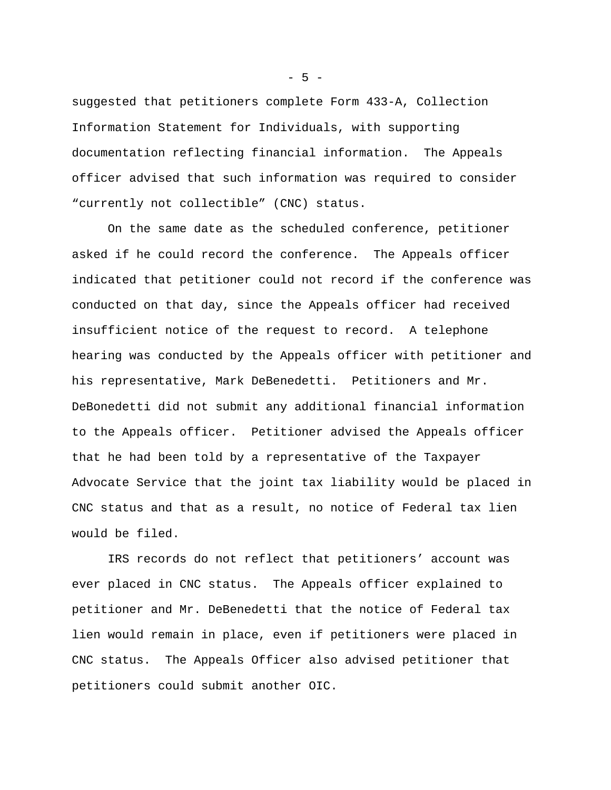suggested that petitioners complete Form 433-A, Collection Information Statement for Individuals, with supporting documentation reflecting financial information. The Appeals officer advised that such information was required to consider "currently not collectible" (CNC) status.

On the same date as the scheduled conference, petitioner asked if he could record the conference. The Appeals officer indicated that petitioner could not record if the conference was conducted on that day, since the Appeals officer had received insufficient notice of the request to record. A telephone hearing was conducted by the Appeals officer with petitioner and his representative, Mark DeBenedetti. Petitioners and Mr. DeBonedetti did not submit any additional financial information to the Appeals officer. Petitioner advised the Appeals officer that he had been told by a representative of the Taxpayer Advocate Service that the joint tax liability would be placed in CNC status and that as a result, no notice of Federal tax lien would be filed.

IRS records do not reflect that petitioners' account was ever placed in CNC status. The Appeals officer explained to petitioner and Mr. DeBenedetti that the notice of Federal tax lien would remain in place, even if petitioners were placed in CNC status. The Appeals Officer also advised petitioner that petitioners could submit another OIC.

 $-5 -$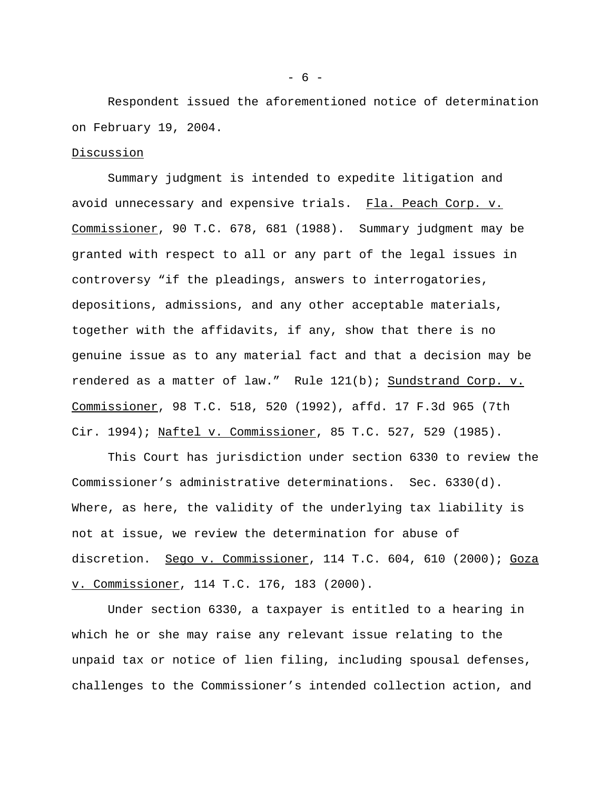Respondent issued the aforementioned notice of determination on February 19, 2004.

### Discussion

Summary judgment is intended to expedite litigation and avoid unnecessary and expensive trials. Fla. Peach Corp. v. Commissioner, 90 T.C. 678, 681 (1988). Summary judgment may be granted with respect to all or any part of the legal issues in controversy "if the pleadings, answers to interrogatories, depositions, admissions, and any other acceptable materials, together with the affidavits, if any, show that there is no genuine issue as to any material fact and that a decision may be rendered as a matter of law." Rule 121(b); Sundstrand Corp. v. Commissioner, 98 T.C. 518, 520 (1992), affd. 17 F.3d 965 (7th Cir. 1994); Naftel v. Commissioner, 85 T.C. 527, 529 (1985).

This Court has jurisdiction under section 6330 to review the Commissioner's administrative determinations. Sec. 6330(d). Where, as here, the validity of the underlying tax liability is not at issue, we review the determination for abuse of discretion. Sego v. Commissioner, 114 T.C. 604, 610 (2000); Goza v. Commissioner, 114 T.C. 176, 183 (2000).

Under section 6330, a taxpayer is entitled to a hearing in which he or she may raise any relevant issue relating to the unpaid tax or notice of lien filing, including spousal defenses, challenges to the Commissioner's intended collection action, and

- 6 -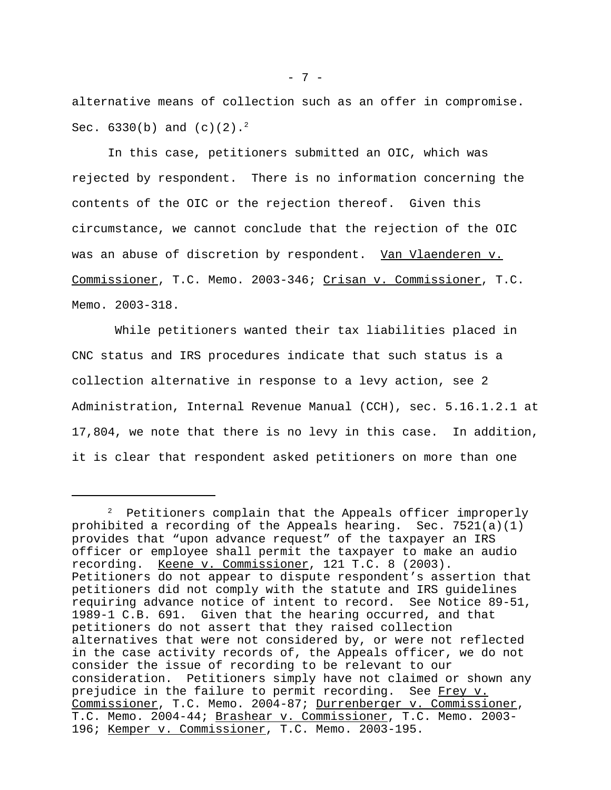alternative means of collection such as an offer in compromise. Sec.  $6330(b)$  and  $(c)(2).^{2}$ 

In this case, petitioners submitted an OIC, which was rejected by respondent. There is no information concerning the contents of the OIC or the rejection thereof. Given this circumstance, we cannot conclude that the rejection of the OIC was an abuse of discretion by respondent. Van Vlaenderen v. Commissioner, T.C. Memo. 2003-346; Crisan v. Commissioner, T.C. Memo. 2003-318.

 While petitioners wanted their tax liabilities placed in CNC status and IRS procedures indicate that such status is a collection alternative in response to a levy action, see 2 Administration, Internal Revenue Manual (CCH), sec. 5.16.1.2.1 at 17,804, we note that there is no levy in this case. In addition, it is clear that respondent asked petitioners on more than one

 $2$  Petitioners complain that the Appeals officer improperly prohibited a recording of the Appeals hearing. Sec. 7521(a)(1) provides that "upon advance request" of the taxpayer an IRS officer or employee shall permit the taxpayer to make an audio recording. Keene v. Commissioner, 121 T.C. 8 (2003). Petitioners do not appear to dispute respondent's assertion that petitioners did not comply with the statute and IRS guidelines requiring advance notice of intent to record. See Notice 89-51, 1989-1 C.B. 691. Given that the hearing occurred, and that petitioners do not assert that they raised collection alternatives that were not considered by, or were not reflected in the case activity records of, the Appeals officer, we do not consider the issue of recording to be relevant to our consideration. Petitioners simply have not claimed or shown any prejudice in the failure to permit recording. See Frey v. Commissioner, T.C. Memo. 2004-87; Durrenberger v. Commissioner, T.C. Memo. 2004-44; Brashear v. Commissioner, T.C. Memo. 2003-196; Kemper v. Commissioner, T.C. Memo. 2003-195.